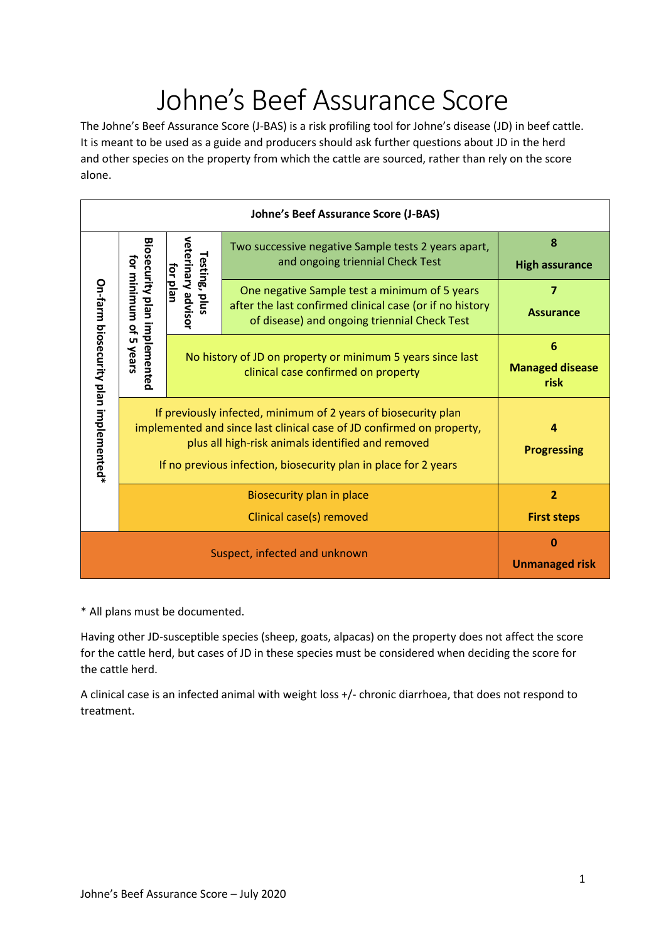# Johne's Beef Assurance Score

The Johne's Beef Assurance Score (J-BAS) is a risk profiling tool for Johne's disease (JD) in beef cattle. It is meant to be used as a guide and producers should ask further questions about JD in the herd and other species on the property from which the cattle are sourced, rather than rely on the score alone.

| <b>Johne's Beef Assurance Score (J-BAS)</b> |                                                                                                                                                                                                                                                                 |                                                                                                   |                                                                                                                                                           |                                      |
|---------------------------------------------|-----------------------------------------------------------------------------------------------------------------------------------------------------------------------------------------------------------------------------------------------------------------|---------------------------------------------------------------------------------------------------|-----------------------------------------------------------------------------------------------------------------------------------------------------------|--------------------------------------|
| On-farm biosecurity plan implemented*       | Biosecurity plan implemented<br>for minimum of<br><b>uп</b><br>Nears                                                                                                                                                                                            | veterinary advisor<br>Testing, plus<br>for plan                                                   | Two successive negative Sample tests 2 years apart,<br>and ongoing triennial Check Test                                                                   | 8<br><b>High assurance</b>           |
|                                             |                                                                                                                                                                                                                                                                 |                                                                                                   | One negative Sample test a minimum of 5 years<br>after the last confirmed clinical case (or if no history<br>of disease) and ongoing triennial Check Test | $\overline{7}$<br><b>Assurance</b>   |
|                                             |                                                                                                                                                                                                                                                                 | No history of JD on property or minimum 5 years since last<br>clinical case confirmed on property |                                                                                                                                                           | 6<br><b>Managed disease</b><br>risk  |
|                                             | If previously infected, minimum of 2 years of biosecurity plan<br>implemented and since last clinical case of JD confirmed on property,<br>plus all high-risk animals identified and removed<br>If no previous infection, biosecurity plan in place for 2 years |                                                                                                   |                                                                                                                                                           | Δ<br><b>Progressing</b>              |
|                                             | Biosecurity plan in place<br>Clinical case(s) removed                                                                                                                                                                                                           |                                                                                                   |                                                                                                                                                           | $\overline{2}$<br><b>First steps</b> |
| Suspect, infected and unknown               |                                                                                                                                                                                                                                                                 |                                                                                                   |                                                                                                                                                           | 0<br><b>Unmanaged risk</b>           |

\* All plans must be documented.

Having other JD-susceptible species (sheep, goats, alpacas) on the property does not affect the score for the cattle herd, but cases of JD in these species must be considered when deciding the score for the cattle herd.

A clinical case is an infected animal with weight loss +/- chronic diarrhoea, that does not respond to treatment.